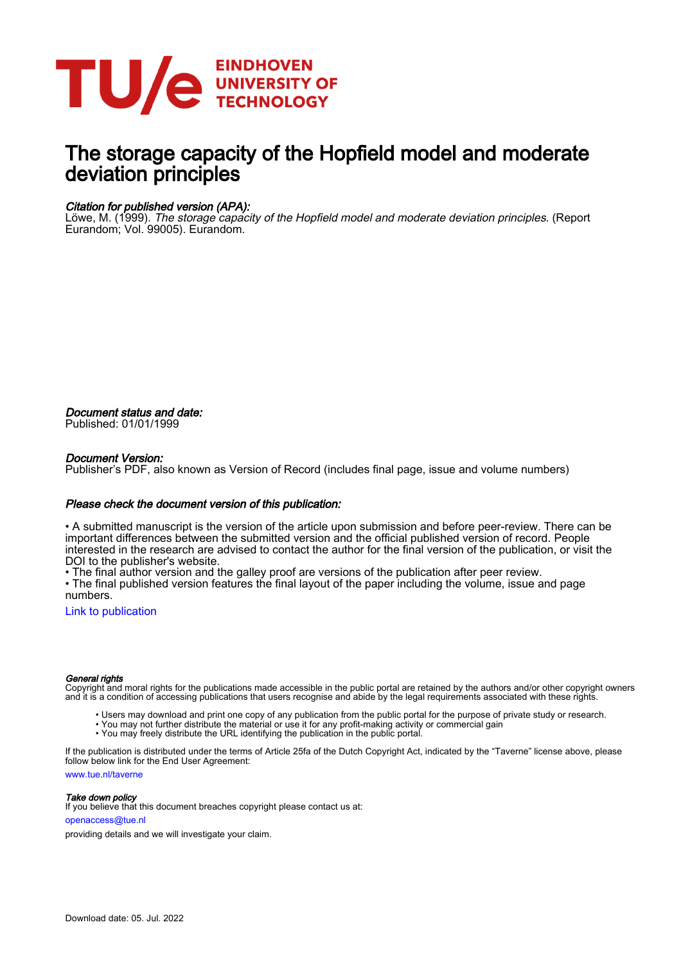

# The storage capacity of the Hopfield model and moderate deviation principles

### Citation for published version (APA):

Löwe, M. (1999). The storage capacity of the Hopfield model and moderate deviation principles. (Report Eurandom; Vol. 99005). Eurandom.

Document status and date: Published: 01/01/1999

#### Document Version:

Publisher's PDF, also known as Version of Record (includes final page, issue and volume numbers)

#### Please check the document version of this publication:

• A submitted manuscript is the version of the article upon submission and before peer-review. There can be important differences between the submitted version and the official published version of record. People interested in the research are advised to contact the author for the final version of the publication, or visit the DOI to the publisher's website.

• The final author version and the galley proof are versions of the publication after peer review.

• The final published version features the final layout of the paper including the volume, issue and page numbers.

[Link to publication](https://research.tue.nl/en/publications/d324573d-7de8-45d6-9852-02bd3b4e2270)

#### General rights

Copyright and moral rights for the publications made accessible in the public portal are retained by the authors and/or other copyright owners and it is a condition of accessing publications that users recognise and abide by the legal requirements associated with these rights.

- Users may download and print one copy of any publication from the public portal for the purpose of private study or research.
- You may not further distribute the material or use it for any profit-making activity or commercial gain
- You may freely distribute the URL identifying the publication in the public portal.

If the publication is distributed under the terms of Article 25fa of the Dutch Copyright Act, indicated by the "Taverne" license above, please follow below link for the End User Agreement:

www.tue.nl/taverne

**Take down policy**<br>If you believe that this document breaches copyright please contact us at:

openaccess@tue.nl

providing details and we will investigate your claim.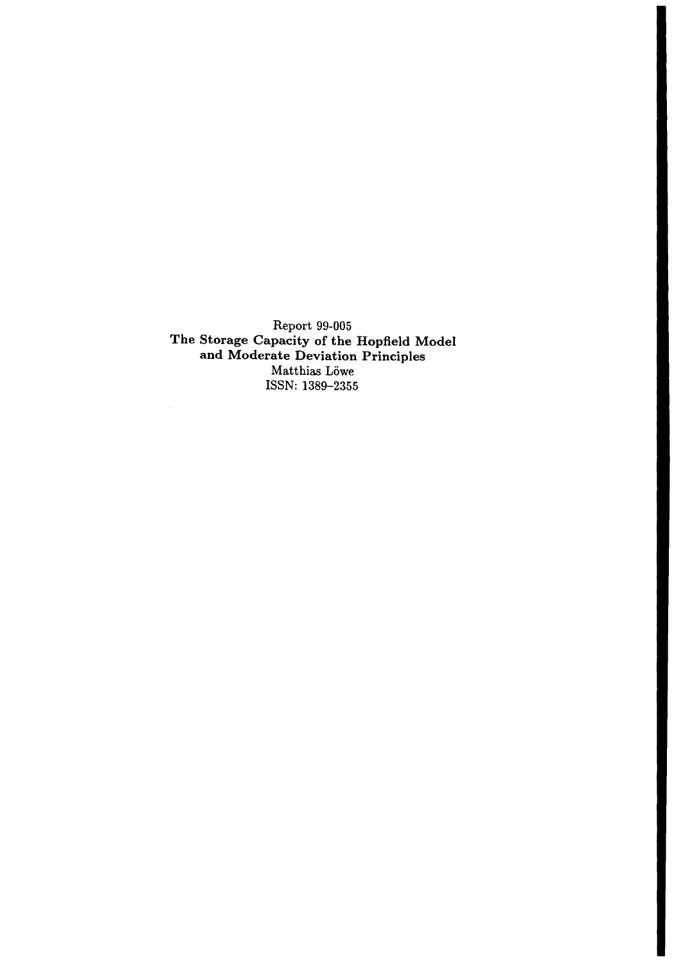Report 99-005 **The Storage Capacity of the Hopfield Model and Moderate Deviation Principles**  $\operatorname*{Matthias}% \left( X\right) \sim\operatorname*{Aut}}\operatorname*{Aut}% \left( X\right) ,$  Matthias  $\operatorname*{L\"{o}we}$ ISSN: 1389-2355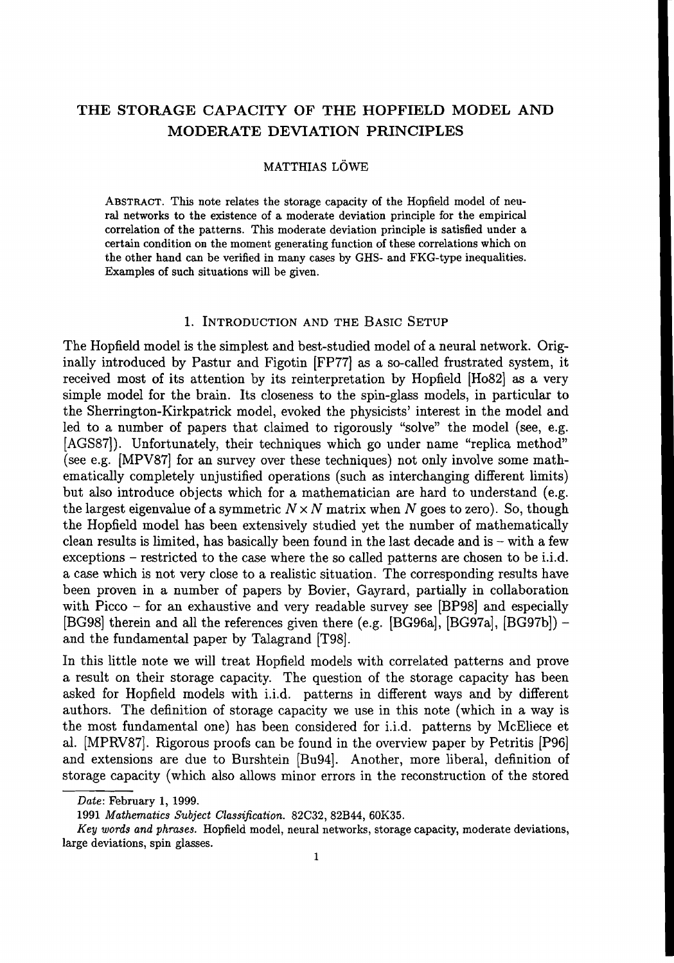# THE STORAGE CAPACITY OF THE HOPFIELD MODEL AND MODERATE DEVIATION PRINCIPLES

# MATTHIAS LOWE

ABSTRACT. This note relates the storage capacity of the Hopfield model of neural networks to the existence of a moderate deviation principle for the empirical correlation of the patterns. This moderate deviation principle is satisfied under a certain condition on the moment generating function of these correlations which on the other hand can be verified in many cases by GHS- and FKG-type inequalities. Examples of such situations will be given.

# 1. INTRODUCTION AND THE BASIC SETUP

The Hopfield model is the simplest and best-studied model of a neural network. Originally introduced by Pastur and Figotin [FP77] as a so-called frustrated system, it received most of its attention by its reinterpretation by Hopfield [H082] as a very simple model for the brain. Its closeness to the spin-glass models, in particular to the Sherrington-Kirkpatrick model, evoked the physicists' interest in the model and led to a number of papers that claimed to rigorously "solve" the model (see, e.g. [AGS87]). Unfortunately, their techniques which go under name "replica method" (see e.g. (MPV87] for an survey over these techniques) not only involve some mathematically completely unjustified operations (such as interchanging different limits) but also introduce objects which for a mathematician are hard to understand (e.g. the largest eigenvalue of a symmetric  $N \times N$  matrix when *N* goes to zero). So, though the Hopfield model has been extensively studied yet the number of mathematically clean results is limited, has basically been found in the last decade and is – with a few exceptions – restricted to the case where the so called patterns are chosen to be i.i.d. a case which is not very close to a realistic situation. The corresponding results have been proven in a number of papers by Bovier, Gayrard, partially in collaboration with Picco - for an exhaustive and very readable survey see [BP98] and especially [BG98] therein and all the references given there (e.g. [BG96a], [BG97a], [BG97b]) and the fundamental paper by Talagrand [T98].

In this little note we will treat Hopfield models with correlated patterns and prove a result on their storage capacity. The question of the storage capacity has been asked for Hopfield models with i.i.d. patterns in different ways and by different authors. The definition of storage capacity we use in this note (which in a way is the most fundamental one) has been considered for i.i.d. patterns by McEliece et al. (MPRV87]. Rigorous proofs can be found in the overview paper by Petritis [P96] and extensions are due to Burshtein [Bu94]. Another, more liberal, definition of storage capacity (which also allows minor errors in the reconstruction of the stored

*Date:* February 1, 1999.

*<sup>1991</sup> Mathematics Subject Classification.* 82C32, 82B44, *60K35.*

*Key words and phrases.* Hopfield model, neural networks, storage capacity, moderate deviations, large deviations, spin glasses.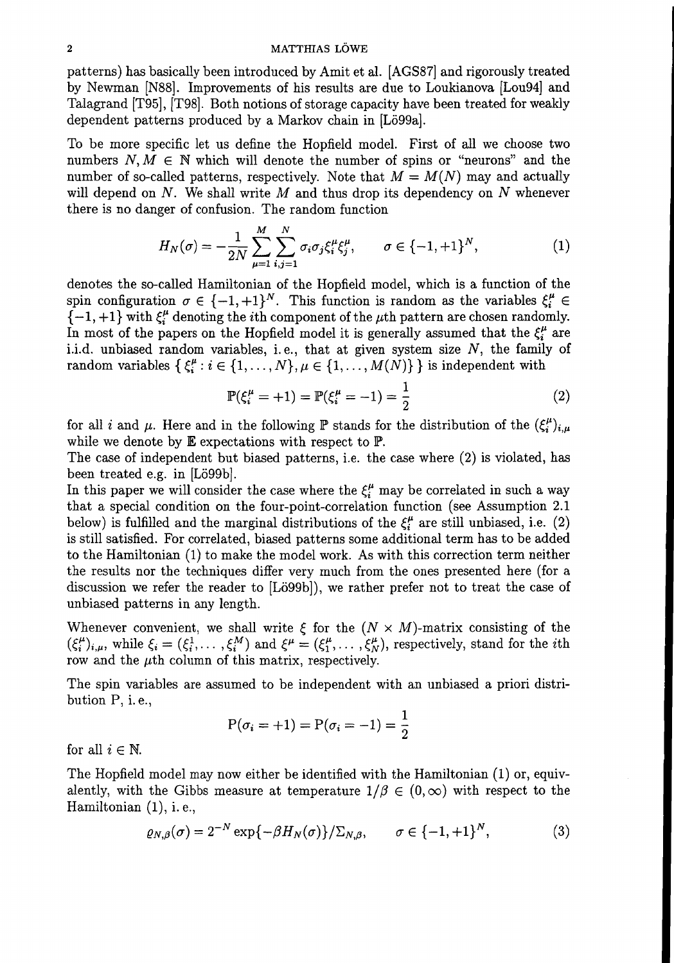#### 2 MATTHIAS LÖWE

patterns) has basically been introduced by Amit et al. [AGS87] and rigorously treated by Newman [N88]. Improvements of his results are due to Loukianova [Lou94] and Talagrand [T95], [T98]. Both notions of storage capacity have been treated for weakly dependent patterns produced by a Markov chain in [Lö99a].

To be more specific let us define the Hopfield model. First of all we choose two numbers  $N, M \in \mathbb{N}$  which will denote the number of spins or "neurons" and the number of so-called patterns, respectively. Note that  $M = M(N)$  may and actually will depend on  $N$ . We shall write  $M$  and thus drop its dependency on  $N$  whenever there is no danger of confusion. The random function

$$
H_N(\sigma) = -\frac{1}{2N} \sum_{\mu=1}^M \sum_{i,j=1}^N \sigma_i \sigma_j \xi_i^{\mu} \xi_j^{\mu}, \qquad \sigma \in \{-1, +1\}^N, \tag{1}
$$

denotes the so-called Hamiltonian of the Hopfield model, which is a function of the spin configuration  $\sigma \in \{-1, +1\}^N$ . This function is random as the variables  $\xi_i^{\mu} \in$  ${-1, +1}$  with  $\xi_i^{\mu}$  denoting the *i*th component of the  $\mu$ th pattern are chosen randomly. In most of the papers on the Hopfield model it is generally assumed that the  $\xi_i^{\mu}$  are i.i.d. unbiased random variables, i.e., that at given system size  $N$ , the family of random variables  $\{\xi_i^{\mu}:i \in \{1,\ldots,N\}, \mu \in \{1,\ldots,M(N)\}\}\$ is independent with

$$
\mathbb{P}(\xi_i^{\mu} = +1) = \mathbb{P}(\xi_i^{\mu} = -1) = \frac{1}{2}
$$
 (2)

for all i and  $\mu$ . Here and in the following P stands for the distribution of the  $(\xi_i^{\mu})_{i,\mu}$ while we denote by  $E$  expectations with respect to  $P$ .

The case of independent but biased patterns, i.e. the case where (2) is violated, has been treated e.g. in [Lö99b].

In this paper we will consider the case where the  $\xi_i^{\mu}$  may be correlated in such a way that a special condition on the four-point-correlation function (see Assumption 2.1 below) is fulfilled and the marginal distributions of the  $\xi_i^{\mu}$  are still unbiased, i.e. (2) is still satisfied. For correlated, biased patterns some additional term has to be added to the Hamiltonian (1) to make the model work. As with this correction term neither the results nor the techniques differ very much from the ones presented here (for a discussion we refer the reader to [Lö99b]), we rather prefer not to treat the case of unbiased patterns in any length.

Whenever convenient, we shall write  $\xi$  for the  $(N \times M)$ -matrix consisting of the  $(\xi_i^{\mu})_{i,\mu}$ , while  $\xi_i = (\xi_i^1, \ldots, \xi_i^M)$  and  $\xi^{\mu} = (\xi_1^{\mu}, \ldots, \xi_N^{\mu})$ , respectively, stand for the *i*th row and the  $\mu$ th column of this matrix, respectively.

The spin variables are assumed to be independent with an unbiased a priori distribution P, i.e.,

$$
P(\sigma_i = +1) = P(\sigma_i = -1) = \frac{1}{2}
$$

for all  $i \in \mathbb{N}$ .

The Hopfield model may now either be identified with the Hamiltonian (1) or, equivalently, with the Gibbs measure at temperature  $1/\beta \in (0,\infty)$  with respect to the Hamiltonian (1), i. e.,

$$
\varrho_{N,\beta}(\sigma) = 2^{-N} \exp\{-\beta H_N(\sigma)\} / \Sigma_{N,\beta}, \qquad \sigma \in \{-1, +1\}^N, \tag{3}
$$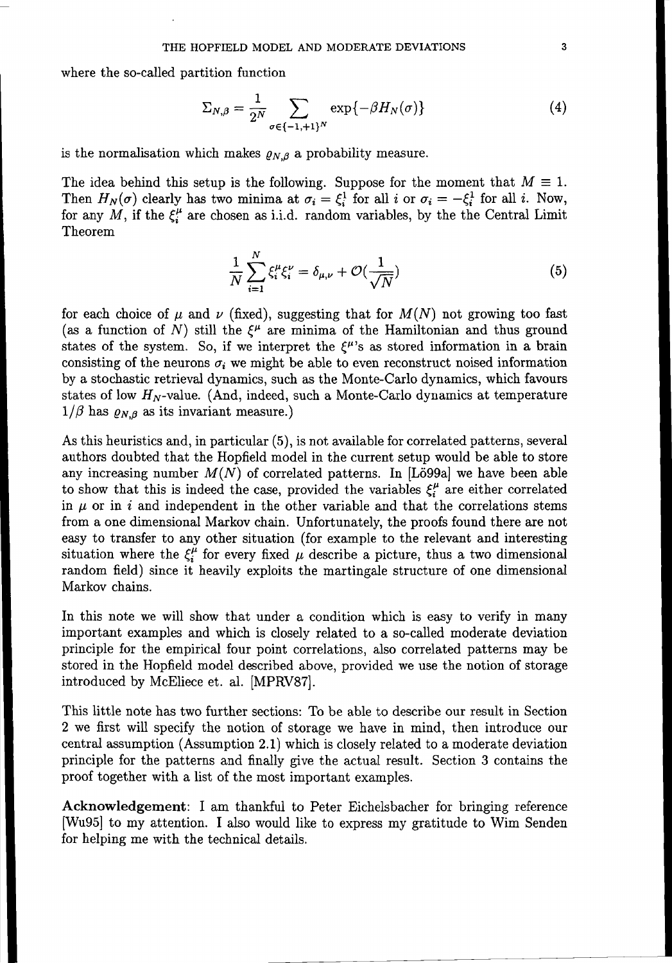where the so-called partition function

$$
\Sigma_{N,\beta} = \frac{1}{2^N} \sum_{\sigma \in \{-1,+1\}^N} \exp\{-\beta H_N(\sigma)\} \tag{4}
$$

is the normalisation which makes  $\rho_{N,\beta}$  a probability measure.

The idea behind this setup is the following. Suppose for the moment that  $M \equiv 1$ . Then  $H_N(\sigma)$  clearly has two minima at  $\sigma_i = \xi_i^1$  for all i or  $\sigma_i = -\xi_i^1$  for all i. Now, for any  $M$ , if the  $\xi_i^{\mu}$  are chosen as i.i.d. random variables, by the the Central Limit Theorem

$$
\frac{1}{N} \sum_{i=1}^{N} \xi_i^{\mu} \xi_i^{\nu} = \delta_{\mu,\nu} + \mathcal{O}(\frac{1}{\sqrt{N}})
$$
\n(5)

for each choice of  $\mu$  and  $\nu$  (fixed), suggesting that for  $M(N)$  not growing too fast (as a function of N) still the  $\xi^{\mu}$  are minima of the Hamiltonian and thus ground states of the system. So, if we interpret the  $\xi^{\mu}$ 's as stored information in a brain consisting of the neurons  $\sigma_i$  we might be able to even reconstruct noised information by a stochastic retrieval dynamics, such as the Monte-Carlo dynamics, which favours states of low  $H_N$ -value. (And, indeed, such a Monte-Carlo dynamics at temperature  $1/\beta$  has  $\rho_{N,\beta}$  as its invariant measure.)

As this heuristics and, in particular (5), is not available for correlated patterns, several authors doubted that the Hopfield model in the current setup would be able to store any increasing number  $M(N)$  of correlated patterns. In [Lö99a] we have been able to show that this is indeed the case, provided the variables  $\xi_i^{\mu}$  are either correlated in  $\mu$  or in i and independent in the other variable and that the correlations stems from a one dimensional Markov chain. Unfortunately, the proofs found there are not easy to transfer to any other situation (for example to the relevant and interesting situation where the  $\xi_i^{\mu}$  for every fixed  $\mu$  describe a picture, thus a two dimensional random field) since it heavily exploits the martingale structure of one dimensional Markov chains.

**In** this note we will show that under a condition which is easy to verify in many important examples and which is closely related to a so-called moderate deviation principle for the empirical four point correlations, also correlated patterns may be stored in the Hopfield model described above, provided we use the notion of storage introduced by McEliece et. al. [MPRV87].

This little note has two further sections: To be able to describe our result in Section 2 we first will specify the notion of storage we have in mind, then introduce our central assumption (Assumption 2.1) which is closely related to a moderate deviation principle for the patterns and finally give the actual result. Section 3 contains the proof together with a list of the most important examples.

**Acknowledgement: I** am thankful to Peter Eichelsbacher for bringing reference [Wu95] to my attention. I also would like to express my gratitude to Wim Senden for helping me with the technical details.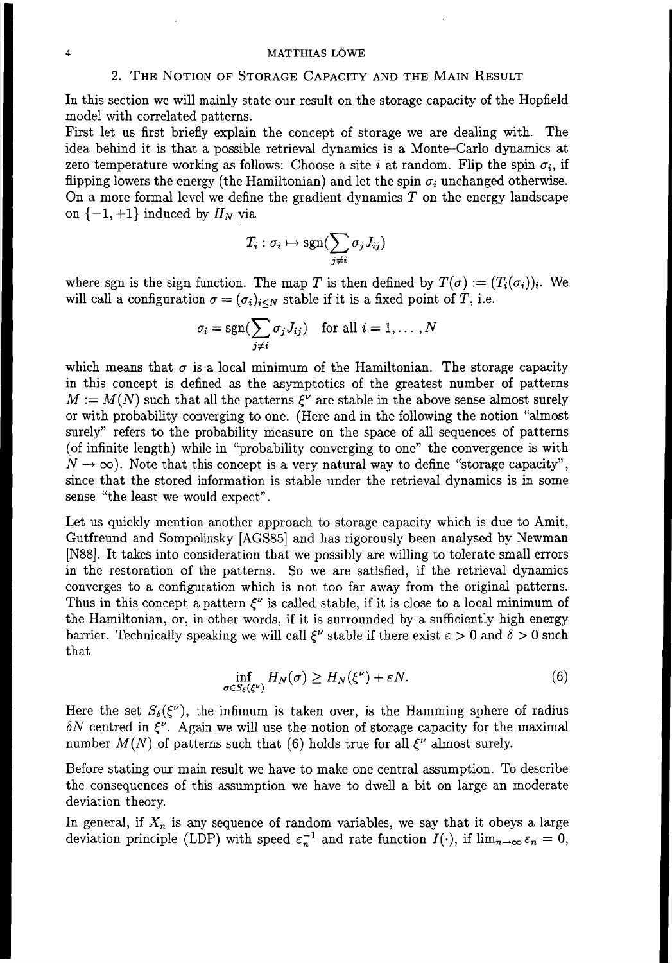#### 4 MATTHIAS LOWE

# 2. THE NOTION OF STORAGE CAPACITY AND THE MAIN RESULT

In this section we will mainly state our result on the storage capacity of the Hopfield model with correlated patterns.

First let us first briefly explain the concept of storage we are dealing with. The idea behind it is that a possible retrieval dynamics is a Monte-Carlo dynamics at zero temperature working as follows: Choose a site i at random. Flip the spin  $\sigma_i$ , if flipping lowers the energy (the Hamiltonian) and let the spin  $\sigma_i$  unchanged otherwise. On a more formal level we define the gradient dynamics  $T$  on the energy landscape on  $\{-1, +1\}$  induced by  $H_N$  via

$$
T_i : \sigma_i \mapsto \text{sgn}(\sum_{j \neq i} \sigma_j J_{ij})
$$

where sgn is the sign function. The map *T* is then defined by  $T(\sigma) := (T_i(\sigma_i))_i$ . We will call a configuration  $\sigma = (\sigma_i)_{i\leq N}$  stable if it is a fixed point of *T*, i.e.

$$
\sigma_i = \text{sgn}(\sum_{j \neq i} \sigma_j J_{ij}) \quad \text{for all } i = 1, \dots, N
$$

which means that  $\sigma$  is a local minimum of the Hamiltonian. The storage capacity in this concept is defined as the asymptotics of the greatest number of patterns  $M := M(N)$  such that all the patterns  $\mathcal{E}^{\nu}$  are stable in the above sense almost surely or with probability converging to one. (Here and in the following the notion "almost surely" refers to the probability measure on the space of all sequences of patterns (of infinite length) while in "probability converging to one" the convergence is with  $N \rightarrow \infty$ ). Note that this concept is a very natural way to define "storage capacity", since that the stored information is stable under the retrieval dynamics is in some sense "the least we would expect".

Let us quickly mention another approach to storage capacity which is due to Amit, Gutfreund and Sompolinsky [AGS85] and has rigorously been analysed by Newman [N88]. It takes into consideration that we possibly are willing to tolerate small errors in the restoration of the patterns. So we are satisfied, if the retrieval dynamics converges to a configuration which is not too far away from the original patterns. Thus in this concept a pattern  $\mathcal{E}^{\nu}$  is called stable, if it is close to a local minimum of the Hamiltonian, or, in other words, if it is surrounded by a sufficiently high energy barrier. Technically speaking we will call  $\mathcal{E}^{\nu}$  stable if there exist  $\varepsilon > 0$  and  $\delta > 0$  such that

$$
\inf_{\sigma \in S_{\delta}(\xi^{\nu})} H_N(\sigma) \ge H_N(\xi^{\nu}) + \varepsilon N. \tag{6}
$$

Here the set  $S_{\delta}(\xi^{\nu})$ , the infimum is taken over, is the Hamming sphere of radius  $\delta N$  centred in  $\xi^{\nu}$ . Again we will use the notion of storage capacity for the maximal number  $M(N)$  of patterns such that (6) holds true for all  $\xi^{\nu}$  almost surely.

Before stating our main result we have to make one central assumption. To describe the consequences of this assumption we have to dwell a bit on large an moderate deviation theory.

In general, if  $X_n$  is any sequence of random variables, we say that it obeys a large deviation principle (LDP) with speed  $\varepsilon_n^{-1}$  and rate function  $I(\cdot)$ , if  $\lim_{n\to\infty} \varepsilon_n = 0$ ,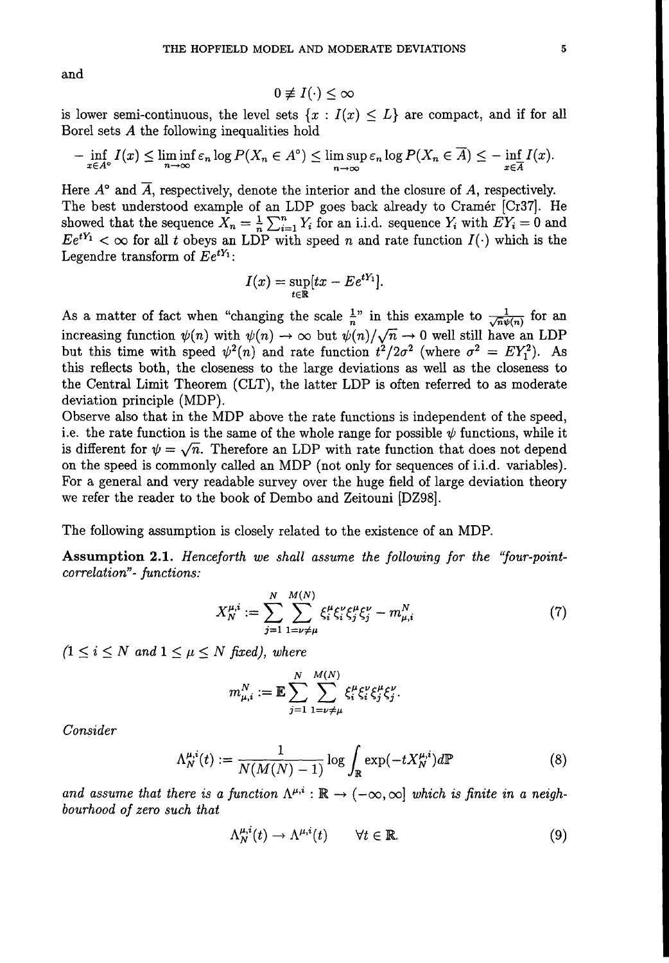and

$$
0\not\equiv I(\cdot)\leq\infty
$$

is lower semi-continuous, the level sets  $\{x : I(x) \leq L\}$  are compact, and if for all Borel sets *A* the following inequalities hold

$$
-\inf_{x\in A^{\circ}}I(x)\leq \liminf_{n\to\infty}\varepsilon_n\log P(X_n\in A^{\circ})\leq \limsup_{n\to\infty}\varepsilon_n\log P(X_n\in \overline{A})\leq -\inf_{x\in \overline{A}}I(x).
$$

Here  $A^{\circ}$  and  $\overline{A}$ , respectively, denote the interior and the closure of A, respectively. The best understood example of an LDP goes back already to Cramer [Cr37j. He showed that the sequence  $X_n = \frac{1}{n} \sum_{i=1}^n Y_i$  for an i.i.d. sequence  $Y_i$  with  $EY_i = 0$  and  $Ee^{tY_1} < \infty$  for all *t* obeys an LDP with speed *n* and rate function  $I(\cdot)$  which is the Legendre transform of  $Ee^{tY_1}$ :

$$
I(x) = \sup_{t \in \mathbb{R}} [tx - E e^{tY_1}].
$$

As a matter of fact when "changing the scale  $\frac{1}{n}$ " in this example to  $\frac{1}{\sqrt{n}\psi(n)}$  for an increasing function  $\psi(n)$  with  $\psi(n) \to \infty$  but  $\psi(n)/\sqrt{n} \to 0$  well still have an LDP but this time with speed  $\psi^2(n)$  and rate function  $t^2/2\sigma^2$  (where  $\sigma^2 = EY_1^2$ ). As this reflects both, the closeness to the large deviations as well as the closeness to the Central Limit Theorem (CLT), the latter LDP is often referred to as moderate deviation principle (MDP).

Observe also that in the MDP above the rate functions is independent of the speed, i.e. the rate function is the same of the whole range for possible  $\psi$  functions, while it is different for  $\psi = \sqrt{n}$ . Therefore an LDP with rate function that does not depend on the speed is commonly called an MDP (not only for sequences of i.i.d. variables). For a general and very readable survey over the huge field of large deviation theory we refer the reader to the book of Dembo and Zeitouni [DZ98].

The following assumption is closely related to the existence of an MDP.

Assumption 2.1. *Henceforth we shall assume the following for the "four-pointcorrelation"*- *functions:*

$$
X_N^{\mu,i} := \sum_{j=1}^N \sum_{1=\nu \neq \mu}^{M(N)} \xi_i^{\mu} \xi_j^{\nu} \xi_j^{\mu} \xi_j^{\nu} - m_{\mu,i}^N \tag{7}
$$

 $(1 \leq i \leq N \text{ and } 1 \leq \mu \leq N \text{ fixed})$ , where

$$
m_{\mu,i}^N := \mathbb{E} \sum_{j=1}^N \sum_{1=\nu \neq \mu}^{M(N)} \xi_i^{\mu} \xi_j^{\nu} \xi_j^{\mu} \xi_j^{\nu}.
$$

*Consider*

$$
\Lambda_N^{\mu,i}(t) := \frac{1}{N(M(N)-1)} \log \int_{\mathbb{R}} \exp(-tX_N^{\mu,i}) d\mathbb{P}
$$
 (8)

and assume that there is a function  $\Lambda^{\mu,i} : \mathbb{R} \to (-\infty,\infty]$  which is finite in a neigh*bourhood of zero such that*

$$
\Lambda_N^{\mu,i}(t) \to \Lambda^{\mu,i}(t) \qquad \forall t \in \mathbb{R}.\tag{9}
$$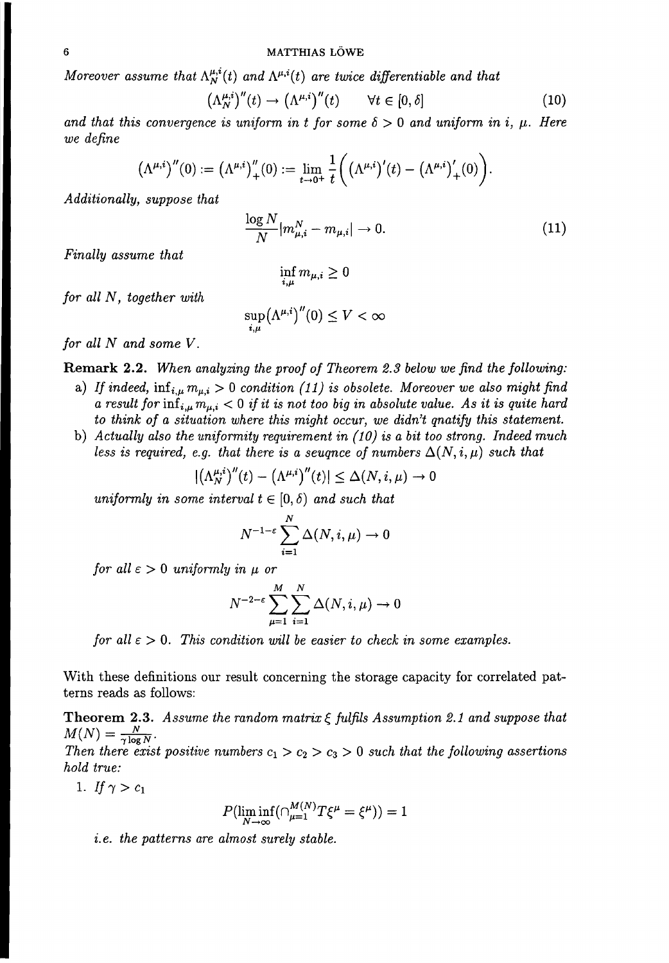*Moreover assume that*  $\Lambda_N^{\mu,i}(t)$  *and*  $\Lambda^{\mu,i}(t)$  *are twice differentiable and that* 

$$
\left(\Lambda_N^{\mu,i}\right)^{\prime\prime}(t) \to \left(\Lambda^{\mu,i}\right)^{\prime\prime}(t) \qquad \forall t \in [0,\delta]
$$
\n(10)

*and* that this convergence is uniform in t for some  $\delta > 0$  and uniform in i,  $\mu$ . Here *we define*

$$
(\Lambda^{\mu,i})''(0):=(\Lambda^{\mu,i})_+''(0):=\lim_{t\to 0^+}\frac{1}{t}\bigg(\big(\Lambda^{\mu,i}\big)'(t)-\big(\Lambda^{\mu,i}\big)'_+(0)\bigg).
$$

*Additionally, suppose that*

$$
\frac{\log N}{N} |m_{\mu,i}^N - m_{\mu,i}| \to 0.
$$
 (11)

*Finally assume that*

$$
\inf_{i,\mu} m_{\mu,i} \geq 0
$$

*for all* N, *together with*

$$
\sup_{i,\mu} (\Lambda^{\mu,i})''(0) \leq V < \infty
$$

*for all N and some V.*

**Remark 2.2.** *When analyzing the proof of Theorem* 2.3 *below we find the following:*

- a) If indeed,  $\inf_{i,\mu} m_{\mu,i} > 0$  condition (11) is obsolete. Moreover we also might find  $a$  *result* for  $\inf_{i,\mu} m_{\mu,i} < 0$  *if it is not too big in absolute value.* As *it is quite hard to think of a situation where this might occur, we didn't qnatify this statement.*
- b) *Actually also the uniformity requirement in (10) is a bit too strong. Indeed much less is required, e.g. that there is a seugnce of numbers*  $\Delta(N, i, \mu)$  *such that*

$$
|(\Lambda_N^{\mu,i})''(t)-(\Lambda^{\mu,i})''(t)|\leq \Delta(N,i,\mu)\to 0
$$

*uniformly in some interval*  $t \in [0, \delta)$  *and such* that

$$
N^{-1-\varepsilon} \sum_{i=1}^{N} \Delta(N, i, \mu) \to 0
$$

*for all*  $\varepsilon > 0$  *uniformly in*  $\mu$  *or* 

$$
N^{-2-\varepsilon} \sum_{\mu=1}^{M} \sum_{i=1}^{N} \Delta(N, i, \mu) \to 0
$$

*for* all  $\epsilon > 0$ . This condition will be easier to check in some examples.

With these definitions our result concerning the storage capacity for correlated patterns reads as follows:

**Theorem 2.3.** Assume the random matrix  $\xi$  fulfils Assumption 2.1 and suppose that  $M(N) = \frac{N}{\gamma \log N}.$ 

*Then there exist positive numbers*  $c_1 > c_2 > c_3 > 0$  *such that the following assertions hold true:*

1. *If*  $\gamma > c_1$ 

$$
P(\liminf_{N \to \infty} (\bigcap_{\mu=1}^{M(N)} T \xi^{\mu} = \xi^{\mu})) = 1
$$

z. *e. the patterns are almost surely stable.*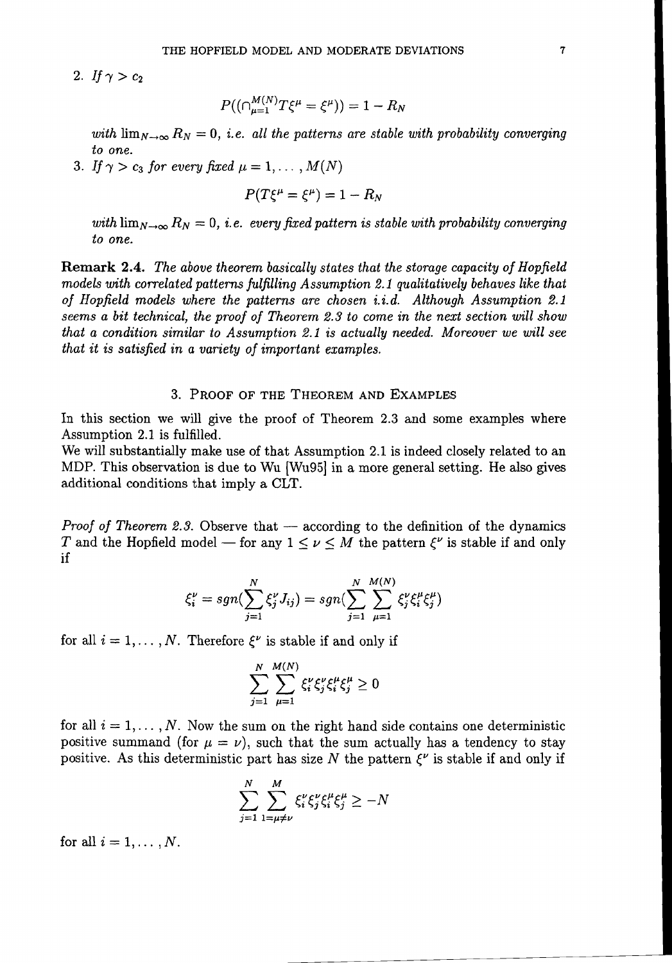2. *If*  $\gamma > c_2$ 

$$
P((\cap_{\mu=1}^{M(N)}T\xi^{\mu}=\xi^{\mu}))=1-R_N
$$

*with*  $\lim_{N\to\infty} R_N = 0$ , *i.e. all the patterns are stable with probability converging to one.*

3. If  $\gamma > c_3$  for every fixed  $\mu = 1, \ldots, M(N)$ 

$$
P(T\xi^{\mu}=\xi^{\mu})=1-R_N
$$

*with*  $\lim_{N\to\infty} R_N = 0$ , *i.e. every fixed pattern is stable with probability converging to one.*

Remark 2.4. *The above theorem basically states that the storage capacity of Hopfield models with correlated patterns fulfilling Assumption* 2.1 *qualitatively behaves like that of Hopjield models where the patterns are chosen i.i.d. Although Assumption 2.1 seems a bit technical, the proof of Theorem* 2.3 *to come in the next section will show that* a *condition similar to Assumption* 2.1 *is actually needed. Moreover we will see that it is satisjied in a variety of important examples.*

# 3. PROOF OF THE THEOREM AND EXAMPLES

In this section we will give the proof of Theorem 2.3 and some examples where Assumption 2.1 is fulfilled.

We will substantially make use of that Assumption 2.1 is indeed closely related to an MDP. This observation is due to Wu [Wu95] in a more general setting. He also gives additional conditions that imply a CLT.

*Proof* of Theorem 2.3. Observe that — according to the definition of the dynamics T and the Hopfield model – for any  $1 \leq \nu \leq M$  the pattern  $\xi^{\nu}$  is stable if and only if

$$
\xi_i^{\nu} = sgn(\sum_{j=1}^N \xi_j^{\nu} J_{ij}) = sgn(\sum_{j=1}^N \sum_{\mu=1}^{M(N)} \xi_j^{\nu} \xi_i^{\mu} \xi_j^{\mu})
$$

for all  $i = 1, \ldots, N$ . Therefore  $\xi^{\nu}$  is stable if and only if

$$
\sum_{j=1}^N \sum_{\mu=1}^{M(N)} \xi_i^{\nu} \xi_j^{\mu} \xi_i^{\mu} \xi_j^{\mu} \ge 0
$$

for all  $i = 1, \ldots, N$ . Now the sum on the right hand side contains one deterministic positive summand (for  $\mu = \nu$ ), such that the sum actually has a tendency to stay positive. As this deterministic part has size N the pattern  $\mathcal{E}^{\nu}$  is stable if and only if

$$
\sum_{j=1}^{N} \sum_{1=\mu \neq \nu}^{M} \xi_i^{\nu} \xi_j^{\nu} \xi_i^{\mu} \xi_j^{\mu} \geq -N
$$

for all  $i = 1, \ldots, N$ .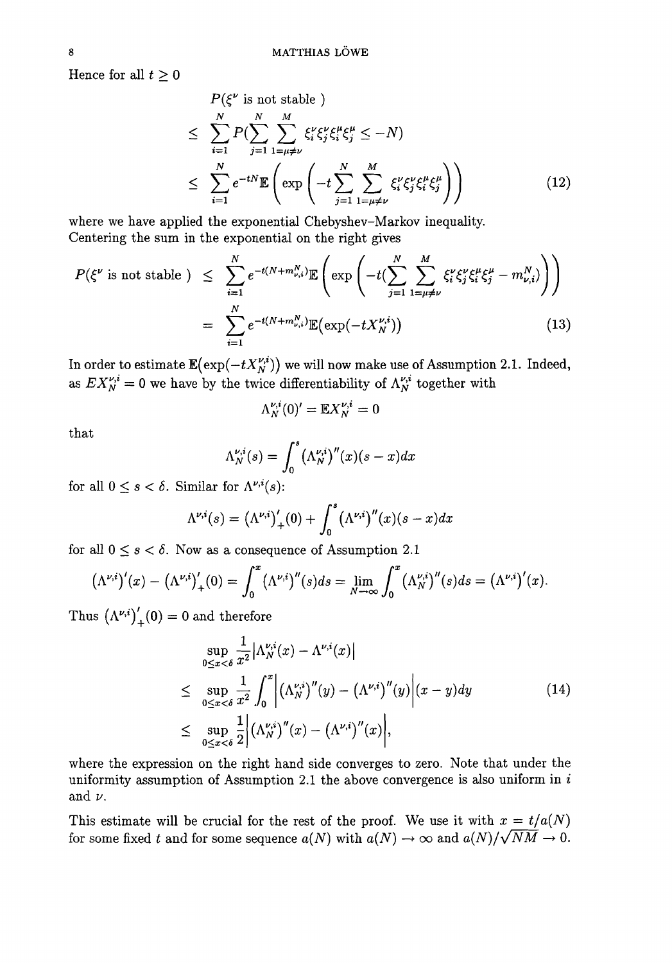Hence for all  $t \geq 0$ 

$$
P(\xi^{\nu} \text{ is not stable})
$$
\n
$$
\leq \sum_{i=1}^{N} P(\sum_{j=1}^{N} \sum_{l=\mu \neq \nu}^{M} \xi_{i}^{\nu} \xi_{j}^{\mu} \xi_{i}^{\mu} \xi_{j}^{\mu} \leq -N)
$$
\n
$$
\leq \sum_{i=1}^{N} e^{-tN} \mathbb{E}\left(\exp\left(-t \sum_{j=1}^{N} \sum_{l=\mu \neq \nu}^{M} \xi_{i}^{\nu} \xi_{j}^{\mu} \xi_{i}^{\mu} \xi_{j}^{\mu}\right)\right) \tag{12}
$$

where we have applied the exponential Chebyshev-Markov inequality. Centering the sum in the exponential on the right gives

$$
P(\xi^{\nu} \text{ is not stable}) \leq \sum_{i=1}^{N} e^{-t(N+m_{\nu,i}^{N})} \mathbb{E}\left(\exp\left(-t(\sum_{j=1}^{N} \sum_{1=\mu\neq\nu}^{M} \xi_{i}^{\nu} \xi_{j}^{\mu} \xi_{i}^{\mu} - m_{\nu,i}^{N})\right)\right)
$$

$$
= \sum_{i=1}^{N} e^{-t(N+m_{\nu,i}^{N})} \mathbb{E}(\exp(-tX_{N}^{\nu,i})) \qquad (13)
$$

In order to estimate  $\mathbb{E}(\exp(-tX_N^{\nu,i}))$  we will now make use of Assumption 2.1. Indeed, as  $EX_N^{\nu,i} = 0$  we have by the twice differentiability of  $\Lambda_N^{\nu,i}$  together with

$$
\Lambda_N^{\nu,i}(0)'=\mathbb{E} X_N^{\nu,i}=0
$$

that

$$
\Lambda_N^{\nu,i}(s) = \int_0^s \left(\Lambda_N^{\nu,i}\right)^{\prime\prime}(x)(s-x)dx
$$

for all  $0 \leq s < \delta$ . Similar for  $\Lambda^{\nu,i}(s)$ :

$$
\Lambda^{\nu,i}(s) = (\Lambda^{\nu,i})'_{+}(0) + \int_0^s (\Lambda^{\nu,i})''(x)(s-x)dx
$$

for all  $0 \leq s < \delta$ . Now as a consequence of Assumption 2.1

$$
(\Lambda^{\nu,i})'(x) - (\Lambda^{\nu,i})'_{+}(0) = \int_0^x (\Lambda^{\nu,i})''(s)ds = \lim_{N \to \infty} \int_0^x (\Lambda^{\nu,i})''(s)ds = (\Lambda^{\nu,i})'(x).
$$

Thus 
$$
(\Lambda^{\nu,i})'_{+}(0) = 0
$$
 and therefore  
\n
$$
\sup_{0 \le x < \delta} \frac{1}{x^2} |\Lambda^{\nu,i}_{N}(x) - \Lambda^{\nu,i}(x)|
$$
\n
$$
\le \sup_{0 \le x < \delta} \frac{1}{x^2} \int_0^x |(\Lambda^{\nu,i}_{N})''(y) - (\Lambda^{\nu,i})''(y)| (x - y) dy
$$
\n
$$
\le \sup_{0 \le x < \delta} \frac{1}{2} |(\Lambda^{\nu,i}_{N})''(x) - (\Lambda^{\nu,i})''(x)|,
$$
\n(14)

where the expression on the right hand side converges to zero. Note that under the uniformity assumption of Assumption 2.1 the above convergence is also uniform in  $i$ and  $\nu$ .

This estimate will be crucial for the rest of the proof. We use it with  $x = t/a(N)$ for some fixed t and for some sequence  $a(N)$  with  $a(N) \to \infty$  and  $a(N)/\sqrt{NM} \to 0$ .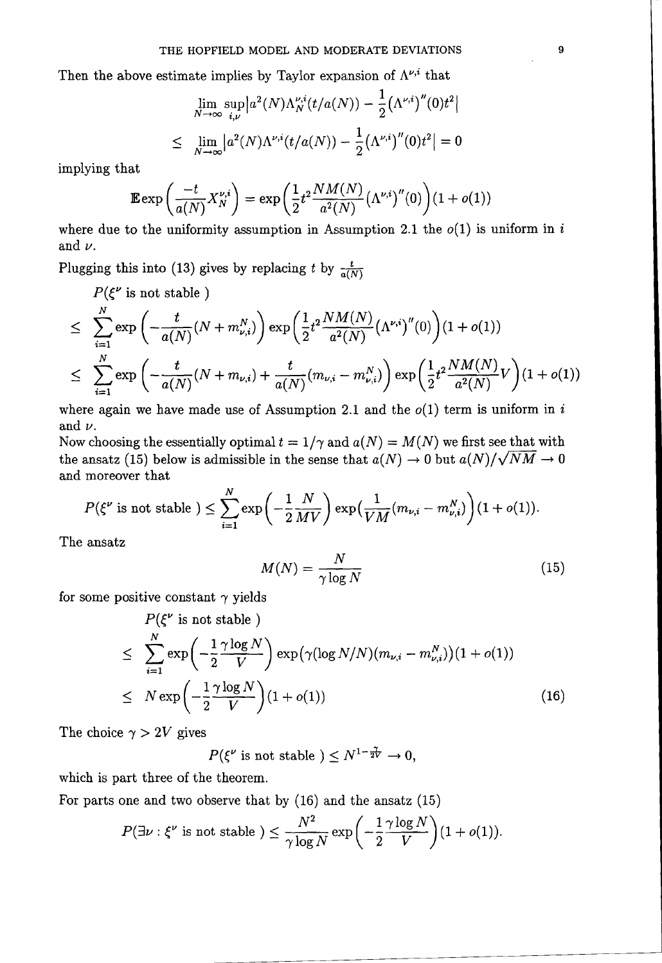Then the above estimate implies by Taylor expansion of  $\Lambda^{\nu,i}$  that

$$
\lim_{N \to \infty} \sup_{i,\nu} \left| a^2(N) \Lambda_N^{\nu,i}(t/a(N)) - \frac{1}{2} (\Lambda^{\nu,i})''(0)t^2 \right|
$$
  

$$
\leq \lim_{N \to \infty} \left| a^2(N) \Lambda^{\nu,i}(t/a(N)) - \frac{1}{2} (\Lambda^{\nu,i})''(0)t^2 \right| = 0
$$

implying that

$$
\mathbb{E}\exp\left(\frac{-t}{a(N)}X_N^{\nu,i}\right)=\exp\left(\frac{1}{2}t^2\frac{NM(N)}{a^2(N)}\big(\Lambda^{\nu,i}\big)''(0)\right)(1+o(1))
$$

where due to the uniformity assumption in Assumption 2.1 the  $o(1)$  is uniform in i and  $\nu$ .

Plugging this into (13) gives by replacing t by  $\frac{t}{a(N)}$ 

 $P(\xi^{\nu} \text{ is not stable})$ 

$$
P(\xi^{\nu} \text{ is not stable})
$$
\n
$$
\leq \sum_{i=1}^{N} \exp\left(-\frac{t}{a(N)}(N+m_{\nu,i}^{N})\right) \exp\left(\frac{1}{2}t^{2}\frac{NM(N)}{a^{2}(N)}(\Lambda^{\nu,i})^{''}(0)\right)(1+o(1))
$$
\n
$$
\leq \sum_{i=1}^{N} \exp\left(-\frac{t}{a(N)}(N+m_{\nu,i})+\frac{t}{a(N)}(m_{\nu,i}-m_{\nu,i}^{N})\right) \exp\left(\frac{1}{2}t^{2}\frac{NM(N)}{a^{2}(N)}V\right)(1+o(1))
$$

where again we have made use of Assumption 2.1 and the  $o(1)$  term is uniform in i and  $\nu$ .

Now choosing the essentially optimal  $t = 1/\gamma$  and  $a(N) = M(N)$  we first see that with the ansatz (15) below is admissible in the sense that  $a(N) \to 0$  but  $a(N)/\sqrt{NM} \to 0$ and moreover that

$$
P(\xi^{\nu} \text{ is not stable } ) \leq \sum_{i=1}^{N} \exp\left(-\frac{1}{2} \frac{N}{MV}\right) \exp\left(\frac{1}{VM}(m_{\nu,i} - m_{\nu,i}^{N})\right) (1 + o(1)).
$$

The ansatz

$$
M(N) = \frac{N}{\gamma \log N} \tag{15}
$$

for some positive constant  $\gamma$  yields

$$
P(\xi^{\nu} \text{ is not stable})
$$
\n
$$
\leq \sum_{i=1}^{N} \exp\left(-\frac{1}{2} \frac{\gamma \log N}{V}\right) \exp\left(\gamma(\log N/N)(m_{\nu,i} - m_{\nu,i}^{N})\right)(1 + o(1))
$$
\n
$$
\leq N \exp\left(-\frac{1}{2} \frac{\gamma \log N}{V}\right)(1 + o(1)) \tag{16}
$$

The choice  $\gamma > 2V$  gives

 $P(\xi^{\nu} \text{ is not stable }) \leq N^{1-\frac{1}{2V}} \to 0,$ 

which is part three of the theorem.

For parts one and two observe that by (16) and the ansatz (15)

$$
P(\exists \nu : \xi^{\nu} \text{ is not stable}) \leq \frac{N^2}{\gamma \log N} \exp\left(-\frac{1}{2} \frac{\gamma \log N}{V}\right) (1 + o(1)).
$$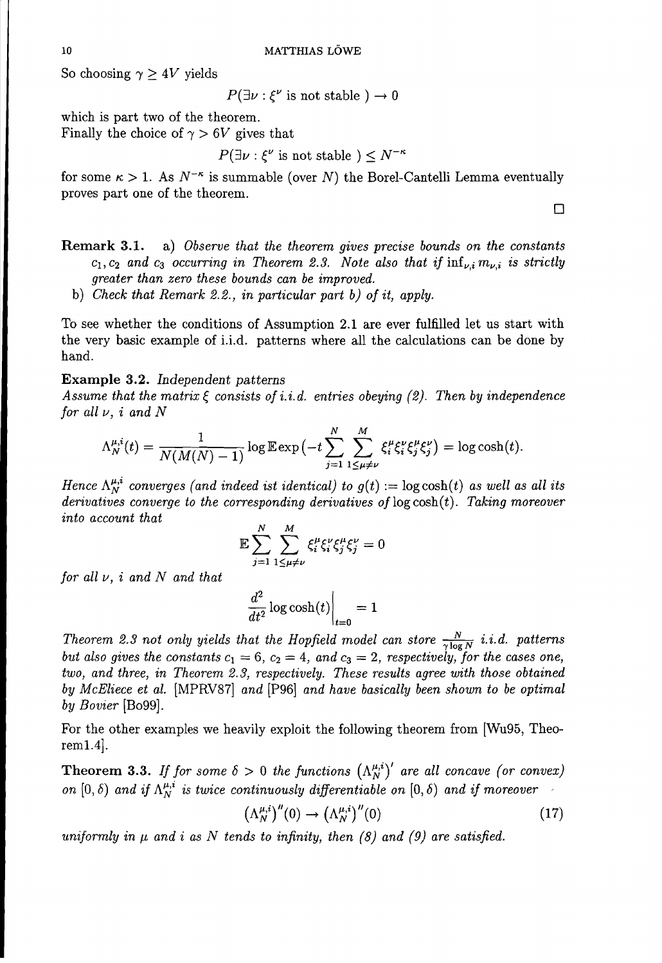So choosing  $\gamma \geq 4V$  yields

 $P(\exists \nu : \xi^{\nu} \text{ is not stable}) \rightarrow 0$ 

which is part two of the theorem. Finally the choice of  $\gamma > 6V$  gives that

 $P(\exists \nu : \xi^{\nu} \text{ is not stable } ) \leq N^{-\kappa}$ 

for some  $\kappa > 1$ . As  $N^{-\kappa}$  is summable (over N) the Borel-Cantelli Lemma eventually proves part one of the theorem.

o

**Remark 3.1.** a) *Observe that the theorem gives precise bounds on the constants*  $c_1, c_2$  and  $c_3$  *occurring in* Theorem 2.3. Note also that if  $\inf_{\nu,i} m_{\nu,i}$  is strictly *greater than zero these bounds can be improved.*

b) *Check that Remark* 2.2., *in particular part b) of it, apply.*

To see whether the conditions of Assumption 2.1 are ever fulfilled let us start with the very basic example of i.i.d. patterns where all the calculations can be done by hand.

# **Example 3.2.** *Independent patterns*

Assume that the matrix  $\xi$  consists of *i.i.d.* entries obeying (2). Then by independence *for all v,* i *and* N

$$
\Lambda_N^{\mu,i}(t) = \frac{1}{N(M(N)-1)}\log \mathbb{E}\exp\left(-t\sum_{j=1}^N\sum_{1\leq\mu\neq\nu}^M \xi_i^{\mu}\xi_j^{\nu}\xi_j^{\mu}\xi_j^{\nu}\right) = \log \cosh(t).
$$

*Hence*  $\Lambda_N^{\mu,i}$  *converges* (and *indeed ist identical*) *to*  $g(t) := \log \cosh(t)$  *as well as all its derivatives* converge to the corresponding derivatives of  $log cosh(t)$ . Taking moreover *into account that*

$$
\mathbb{E}\sum_{j=1}^N\sum_{1\leq\mu\neq\nu}^M\xi_i^\mu\xi_j^\nu\xi_j^\mu\xi_j^\nu=0
$$

*for all v,* i *and* N *and that*

$$
\left. \frac{d^2}{dt^2} \log \cosh(t) \right|_{t=0} = 1
$$

*Theorem* 2.3 *not only yields that the Hopfield model can store*  $\frac{N}{\gamma \log N}$  *i.i.d. patterns but* also gives the constants  $c_1 = 6$ ,  $c_2 = 4$ , and  $c_3 = 2$ , respectively, for the cases one, *two, and three, in Theorem* 2.3, *respectively. These results agree with those obtained by* M*cEliece et al.* [MPRV87] *and* [P96] *and have basically been shown to be optimal by Bovier* [B099].

For the other examples we heavily exploit the following theorem from [Wu95, Theorem1.4].

**Theorem 3.3.** If for some  $\delta > 0$  the functions  $(\Lambda_N^{\mu,i})'$  are all concave (or convex) *on*  $[0, \delta)$  *and if*  $\Lambda_N^{\mu,i}$  *is twice continuously differentiable on*  $[0, \delta)$  *and if moreover* 

$$
\left(\Lambda_N^{\mu,i}\right)^{\prime\prime}(0)\to\left(\Lambda_N^{\mu,i}\right)^{\prime\prime}(0)\tag{17}
$$

*uniformly* in  $\mu$  *and i as*  $N$  *tends to infinity, then* (8) *and* (9) *are satisfied.*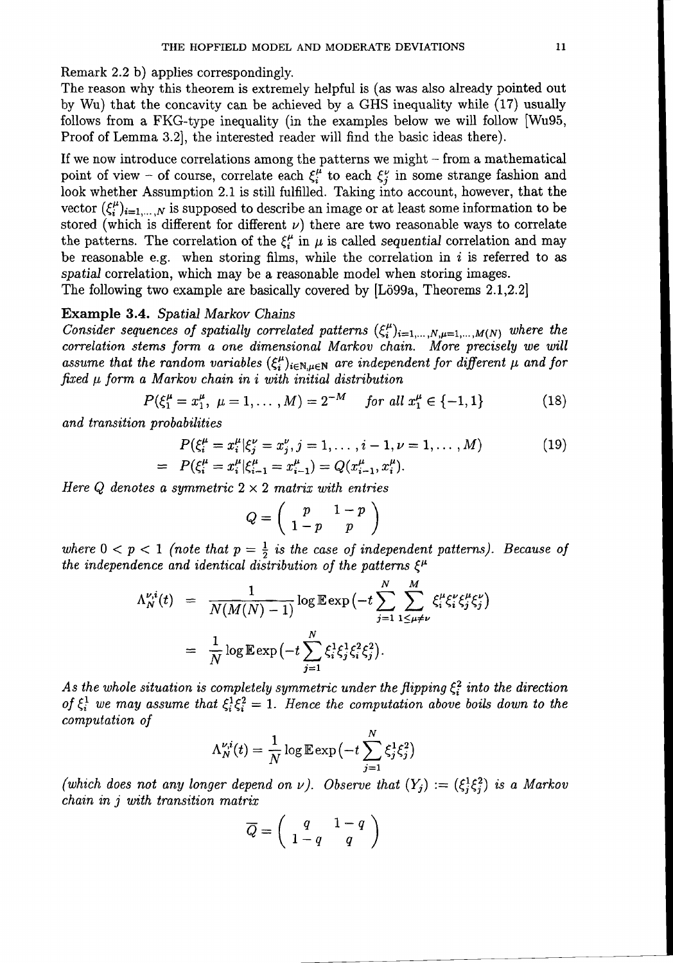Remark 2.2 b) applies correspondingly.

The reason why this theorem is extremely helpful is (as was also already pointed out by Wu) that the concavity can be achieved by a GHS inequality while (17) usually follows from a FKG-type inequality (in the examples below we will follow [Wu95, Proof of Lemma 3.2], the interested reader will find the basic ideas there).

If we now introduce correlations among the patterns we might - from a mathematical point of view - of course, correlate each  $\xi_i^{\mu}$  to each  $\xi_j^{\nu}$  in some strange fashion and look whether Assumption 2.1 is still fulfilled. Taking into account, however, that the vector  $({\xi_i^{\mu}})_{i=1,...,N}$  is supposed to describe an image or at least some information to be stored (which is different for different  $\nu$ ) there are two reasonable ways to correlate the patterns. The correlation of the  $\xi_i^{\mu}$  in  $\mu$  is called *sequential* correlation and may be reasonable e.g. when storing films, while the correlation in  $i$  is referred to as *spatial* correlation, which may be a reasonable model when storing images.

The following two example are basically covered by  $[L\ddot{o}99a,$  Theorems 2.1,2.2]

# Example 3.4. *Spatial Markov Chains*

*Consider sequences of spatially correlated patterns*  $(\xi_i^{\mu})_{i=1,\dots,N,\mu=1,\dots,M(N)}$  *where the correlation stems form a one dimensional Markov chain. More precisely we will* assume that the random variables  $(\xi_i^{\mu})_{i \in \mathbb{N}, \mu \in \mathbb{N}}$  are independent for different  $\mu$  and for  $\int$ *fixed*  $\mu$  *form a Markov chain in i with initial distribution* 

$$
P(\xi_1^{\mu} = x_1^{\mu}, \ \mu = 1, \dots, M) = 2^{-M} \quad \text{for all } x_1^{\mu} \in \{-1, 1\}
$$
 (18)

*and transition probabilities*

$$
P(\xi_i^{\mu} = x_i^{\mu} | \xi_j^{\nu} = x_j^{\nu}, j = 1, \dots, i - 1, \nu = 1, \dots, M)
$$
  
= 
$$
P(\xi_i^{\mu} = x_i^{\mu} | \xi_{i-1}^{\mu} = x_{i-1}^{\mu}) = Q(x_{i-1}^{\mu}, x_i^{\mu}).
$$
 (19)

*Here*  $Q$  *denotes a symmetric*  $2 \times 2$  *matrix with entries* 

$$
Q = \left(\begin{array}{cc} p & 1-p \\ 1-p & p \end{array}\right)
$$

*where*  $0 < p < 1$  *(note that*  $p = \frac{1}{2}$  *is the case of independent patterns). Because of the independence and identical distribution of the patterns*  $\xi^{\mu}$ 

$$
\Lambda_N^{\nu,i}(t) = \frac{1}{N(M(N)-1)} \log \mathbb{E} \exp \left(-t \sum_{j=1}^N \sum_{1 \le \mu \ne \nu}^{M} \xi_i^{\mu} \xi_j^{\nu} \xi_j^{\mu} \xi_j^{\nu} \right)
$$
  
= 
$$
\frac{1}{N} \log \mathbb{E} \exp \left(-t \sum_{j=1}^N \xi_i^1 \xi_j^1 \xi_i^2 \xi_j^2 \right).
$$

*As* the whole situation is completely symmetric under the flipping  $\xi_i^2$  into the direction of  $\xi_i^1$  we may assume that  $\xi_i^1 \xi_i^2 = 1$ . Hence the computation above boils down to the *computation of*

$$
\Lambda_N^{\nu,i}(t) = \frac{1}{N} \log \mathbb{E} \exp\left(-t \sum_{j=1}^N \xi_j^1 \xi_j^2\right)
$$

*(which does not any longer depend on*  $\nu$ ). *Observe that*  $(Y_j) := (\xi_j^1 \xi_j^2)$  *is a Markov chain in j with transition matrix*

$$
\overline{Q}=\left(\begin{array}{cc}q&1-q\\1-q&q\end{array}\right)
$$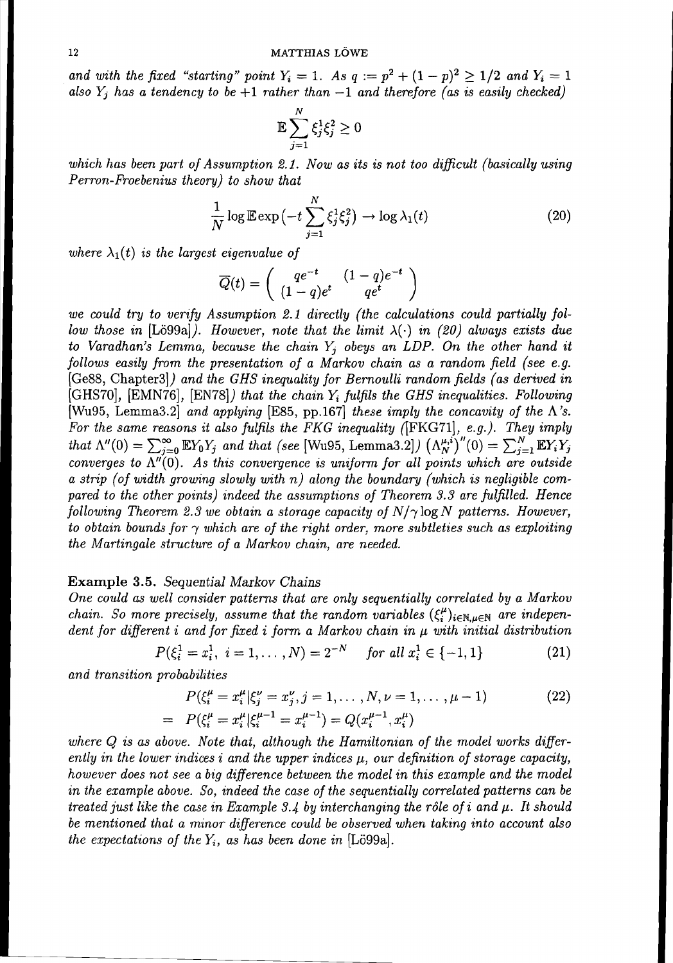*and* with the fixed "starting" point  $Y_i = 1$ . As  $q := p^2 + (1 - p)^2 \ge 1/2$  and  $Y_i = 1$ *also*  $Y_i$  *has* a *tendency to be* +1 *rather than* -1 *and therefore* (*as is easily checked*)

$$
\mathbb{E}\sum_{j=1}^N\xi_j^1\xi_j^2\geq 0
$$

*which has been part of Assumption* 2.1. *Now as its is not too difficult (basically using Perron-Froebenius theory) to show that*

$$
\frac{1}{N}\log\mathbb{E}\exp\left(-t\sum_{j=1}^{N}\xi_j^1\zeta_j^2\right)\to\log\lambda_1(t)\tag{20}
$$

*where*  $\lambda_1(t)$  *is the largest eigenvalue of* 

$$
\overline{Q}(t) = \begin{pmatrix} qe^{-t} & (1-q)e^{-t} \\ (1-q)e^{t} & qe^{t} \end{pmatrix}
$$

*we could try to verify Assumption* 2.1 *directly (the calculations could partially follow those in* [Lö99a]). *However, note that the limit*  $\lambda(\cdot)$  *in (20) always exists due to Varadhan's Lemma, because the chain Yj obeys an LDP. On the other hand it follows easily from the presentation of* a *Markov chain as a random field (see e.g.* [Ge88, Chapter3]) *and the GHS inequality for Bernoulli random fields (as derived in* [GHS70], [EMN76], [EN78]) *that the chain Yi fulfils the GHS inequalities. Following* [Wu95, Lemma3.2] *and applying* [E85, pp.167] *these imply the concavity of the A's. For the same reasons it also fulfils the FKG inequality* (IFKG71], *e.g.). They imply that*  $\Lambda''(0) = \sum_{j=0}^{\infty} \mathbb{E}Y_0Y_j$  *and that* (see [Wu95, Lemma3.2])  $(\Lambda_N^{\mu,i})''(0) = \sum_{j=1}^N \mathbb{E}Y_iY_j$ *converges* to  $\overline{\Lambda''(0)}$ . As this convergence is uniform for all points which are outside *a strip (of width growing slowly with n) along the boundary (which is negligible compared to the other points) indeed the assumptions of Theorem* 3.3 *are fulfilled. Hence following Theorem* 2.3 *we obtain* a *storage capacity of*  $N/\gamma \log N$  *patterns. However, to obtain bounds* for  $\gamma$  *which are of the right order, more subtleties such as exploiting the Martingale structure of a Markov chain, are needed.*

#### Example 3.5. *Sequential Markov Chains*

*One could as well consider patterns that are only sequentially correlated by a Markov chain.* So more precisely, assume that the random variables  $(\xi_i^{\mu})_{i \in \mathbb{N}, \mu \in \mathbb{N}}$  are indepen*dent for different* i *and for fixed* i *form* a *Markov chain in J.L with initial distribution*

$$
P(\xi_i^1 = x_i^1, \ i = 1, \dots, N) = 2^{-N} \quad \text{for all } x_i^1 \in \{-1, 1\}
$$
 (21)

*and transition probabilities*

$$
P(\xi_i^{\mu} = x_i^{\mu} | \xi_j^{\nu} = x_j^{\nu}, j = 1, ..., N, \nu = 1, ..., \mu - 1)
$$
\n
$$
= P(\xi_i^{\mu} = x_i^{\mu} | \xi_i^{\mu-1} = x_i^{\mu-1}) = Q(x_i^{\mu-1}, x_i^{\mu})
$$
\n(22)

*where* Q *is as above. Note that, although the Hamiltonian of the model works differently* in the lower indices i and the upper indices  $\mu$ , our definition of storage capacity, *however does not see a big difference between the model in this example and the model in the example above. So, indeed the case of the sequentially correlated patterns can be treated just* like the case in Example 3.4 by interchanging the rôle of i and  $\mu$ . It should *be mentioned that a minor difference could be observed when taking into account also the expectations of the*  $Y_i$ , *as has been done in* [Lö99a].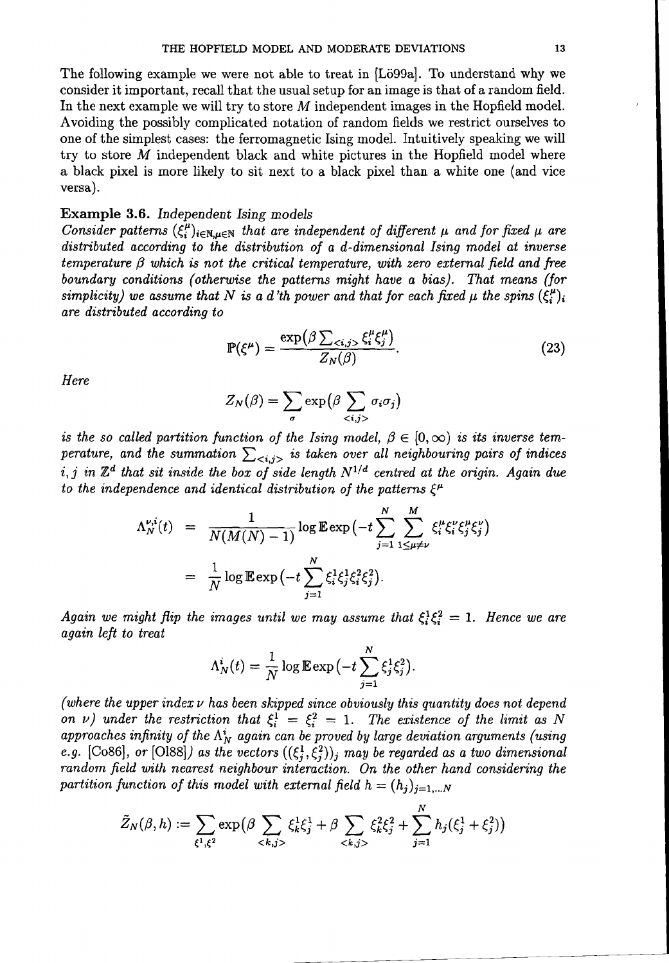The following example we were not able to treat in [Lö99a]. To understand why we consider it important, recall that the usual setup for an image is that of a random field. In the next example we will try to store M independent images in the Hopfield model. Avoiding the possibly complicated notation of random fields we restrict ourselves to one of the simplest cases: the ferromagnetic Ising model. Intuitively speaking we will try to store M independent black and white pictures in the Hopfield model where a black pixel is more likely to sit next to a black pixel than a white one (and vice versa).

# Example 3.6. *Independent Ising models*

*Consider* patterns  $(\xi_i^{\mu})_{i\in\mathbb{N},\mu\in\mathbb{N}}$  that are independent of different  $\mu$  and for fixed  $\mu$  are *distributed according to the distribution of a d-dimensional Ising model at inverse*  $t$ *emperature*  $\beta$  *which is not the critical temperature, with zero external field and free boundary conditions (otherwise the patterns might have a bias). That means (Jar simplicity*) we assume that N is a d'th power and that for each fixed  $\mu$  the spins  $(\xi_i^{\mu})_i$ *are distributed according to*

$$
\mathbb{P}(\xi^{\mu}) = \frac{\exp\left(\beta \sum_{\langle i,j\rangle} \xi_i^{\mu} \xi_j^{\mu}\right)}{Z_N(\beta)}.
$$
\n(23)

*Here*

$$
Z_N(\beta) = \sum_{\sigma} \exp\left(\beta \sum_{\langle i,j\rangle} \sigma_i \sigma_j\right)
$$

*is* the so called partition function of the Ising model,  $\beta \in [0, \infty)$  is its inverse tem*perature,* and the summation  $\sum_{\langle i,j\rangle}$  is taken over all neighbouring pairs of indices i, j *in Zd that sit inside the box of side length N* 1/ *<sup>d</sup> centred at the origin. Again due to* the independence and identical distribution of the patterns  $\xi^{\mu}$ 

$$
\Lambda_N^{\nu,i}(t) = \frac{1}{N(M(N)-1)} \log \mathbb{E} \exp \left(-t \sum_{j=1}^N \sum_{1 \le \mu \ne \nu}^{M} \xi_i^{\mu} \xi_j^{\nu} \xi_j^{\mu} \xi_j^{\nu} \right)
$$
  
= 
$$
\frac{1}{N} \log \mathbb{E} \exp \left(-t \sum_{j=1}^N \xi_i^1 \xi_j^1 \xi_i^2 \xi_j^2 \right).
$$

*Again* we might flip the *images* until we may assume that  $\xi_i^1 \xi_i^2 = 1$ . Hence we are *again left to treat*

$$
\Lambda_N^i(t) = \frac{1}{N} \log \mathbb{E} \exp\left(-t \sum_{j=1}^N \xi_j^1 \xi_j^2\right).
$$

*(where the upper index v has been skipped since obviously this quantity does not depend on v*) *under the restriction that*  $\xi_i^1 = \xi_i^2 = 1$ . *The existence of the limit as* N  $a$ pproaches infinity of the  $\Lambda_N^i$  again can be proved by large deviation arguments (using *e.g.* [Co86], or [O188]) as the vectors  $((\xi_i^1, \xi_i^2))_j$  may be regarded as a two dimensional *random field with nearest neighbour interaction. On the other hand considering the partition function of this model with external field*  $h = (h_j)_{j=1,...N}$ 

$$
\tilde{Z}_N(\beta, h) := \sum_{\xi^1, \xi^2} \exp \Bigl( \beta \sum_{\langle k, j \rangle} \xi_k^1 \xi_j^1 + \beta \sum_{\langle k, j \rangle} \xi_k^2 \xi_j^2 + \sum_{j=1}^N h_j(\xi_j^1 + \xi_j^2) \Bigr)
$$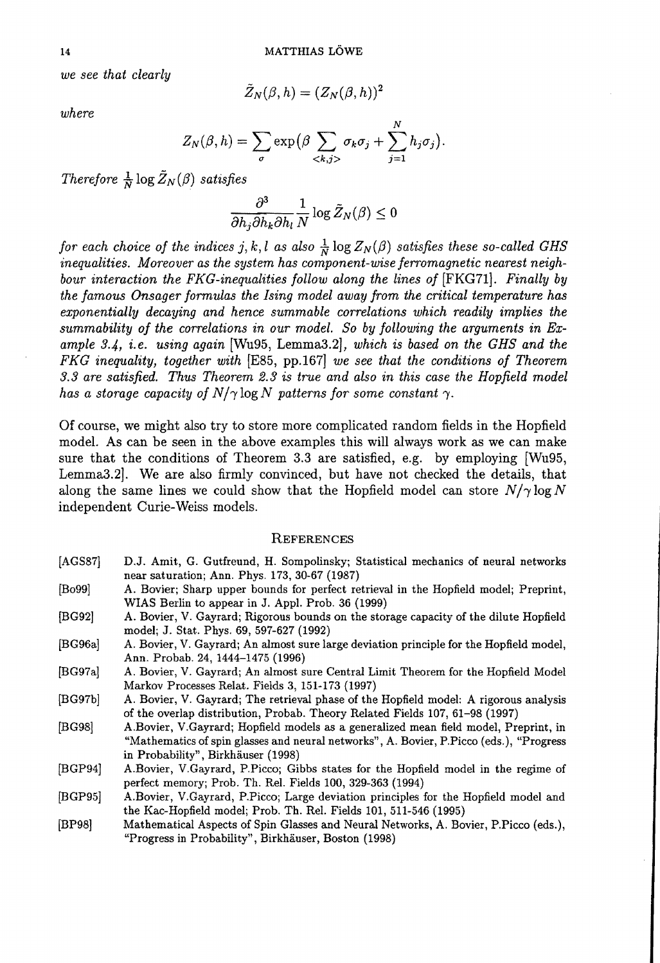*we see that clearly* 

$$
\tilde Z_N(\beta,h)=(Z_N(\beta,h))^2
$$

*where* 

$$
Z_N(\beta, h) = \sum_{\sigma} \exp\Bigl(\beta \sum_{\langle k,j\rangle} \sigma_k \sigma_j + \sum_{j=1}^N h_j \sigma_j\Bigr).
$$

*Therefore*  $\frac{1}{N} \log \tilde{Z}_N(\beta)$  *satisfies* 

$$
\frac{\partial^3}{\partial h_j\partial h_k\partial h_l}\frac{1}{N}\log \tilde Z_N(\beta)\leq 0
$$

*for each choice of the indices j, k, l as also*  $\frac{1}{N} \log Z_N(\beta)$  *satisfies these so-called GHS inequalities. Moreover as the system has component-wise ferromagnetic nearest neighbour interaction the FKG-inequalities follow along the lines of* [FKG71]. *Finally by the famous Onsager formulas the Ising model away from the critical temperature has exponentially decaying and hence summable correlations which readily implies the summability of the correlations in our model. So by following the arguments in Example* 3.4, *i.e. using again* [Wu95 , Lemma3.2J, *which is based on the GHS and the FKG inequality, together with* [E85, pp.167] *we see that the conditions of Theorem 3.3 are satisfied. Thus Theorem* 2.3 *is true and also in this case the Hopfield model has a storage capacity of N/* $\gamma$  log *N* patterns for some constant  $\gamma$ .

Of course, we might also try to store more complicated random fields in the Hopfield modeL As can be seen in the above examples this will always work as we can make sure that the conditions of Theorem 3.3 are satisfied, e.g. by employing  $Wu95$ , Lemma3.2]. We are also firmly convinced, but have not checked the details, that along the same lines we could show that the Hopfield model can store  $N/\gamma \log N$ independent Curie-Weiss models.

#### **REFERENCES**

- [AGS87] D.J. Amit, G. Gutfreund, H. Sompolinsky; Statistical mechanics of neural networks near saturation; Ann. Phys. 173,30-67 (1987)
- (Bo99] A. Bovier; Sharp upper bounds for perfect retrieval in the Hopfield model; Preprint, WIAS Berlin to appear in J. Appl. Prob. 36 (1999)
- (BG92] A. Bovier, V. Gayrard; Rigorous bounds on the storage capacity of the dilute Hopfield model; J. Stat. Phys. 69, 597-627 (1992)
- [BG96a] A. Bovier, V. Gayrard; An almost sure large deviation principle for the Hopfield model, Ann. Probab. 24, 1444-1475 (1996)
- [BG97aJ A. Bovier, V. Gayrard; An almost sure Central Limit Theorem for the Hopfield Model Markov Processes Relat. Fields 3, 151-173 (1997)
- [BG97b] A. Bovier, V. Gayrard; The retrieval phase of the Hopfield model: A rigorous analysis of the overlap distribution, Probab. Theory Related Fields 107, 61-98 (1997)
- (BG98] A.Bovier, V.Gayrard; Hopfield models as a generalized mean field model, Preprint, in "Mathematics of spin glasses and neural networks", A. Bovier, P.Piceo (eds.), "Progress in Probability", Birkhäuser (1998)
- [BGP94] A.Bovier, V.Gayrard, P.Picco; Gibbs states for the Hopfield model in the regime of perfect memory; Prob. Th. ReI. Fields 100, 329-363 (1994)
- [BGP95j A.Bovier, V.Gayrard, P.Picco; Large deviation principles for the Hopfield model and the Kac-Hopfield model; Prob. Th. Rel. Fields 101, 511-546 (1995)
- [BP98] Mathematical Aspects of Spin Glasses and Neural Networks, A. Bovier, P.Picco (eds.), "Progress in Probability", Birkhäuser, Boston (1998)